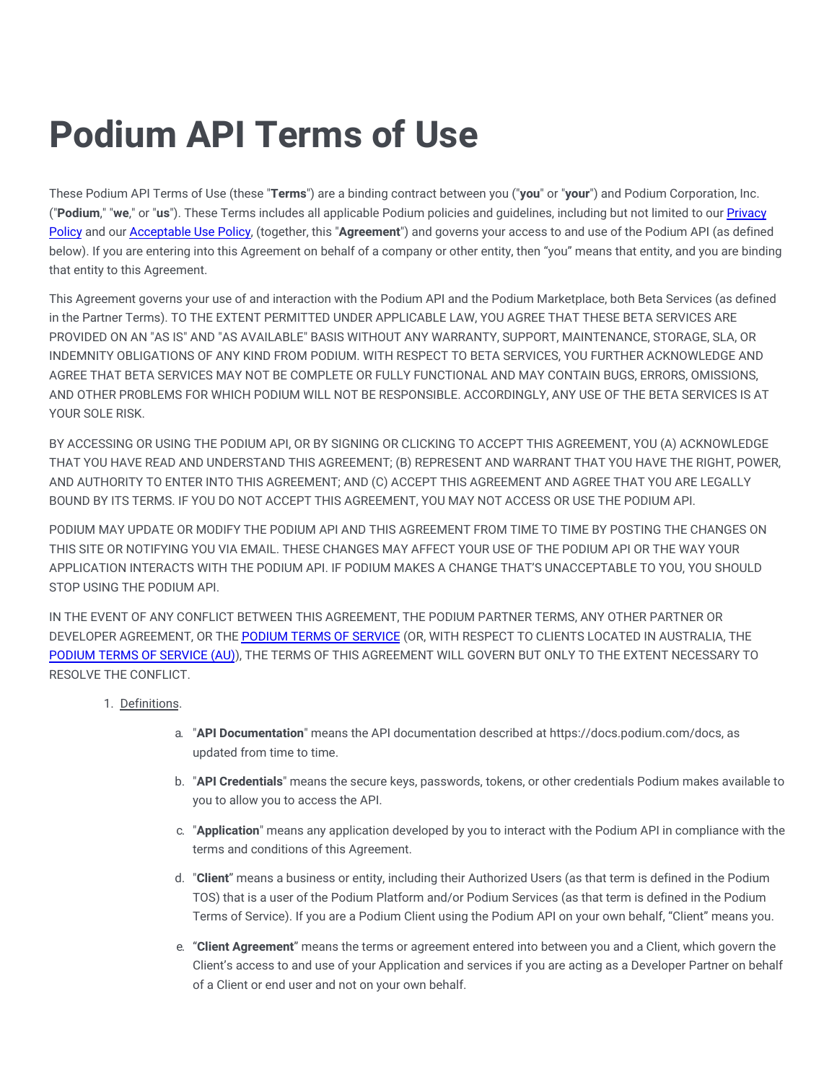# **Podium API Terms of Use**

These Podium API Terms of Use (these "**Terms**") are a binding contract between you ("**you**" or "**your**") and Podium Corporation, Inc. ("**Podium**," "**we**," or "**us**"). These Terms includes all applicable Podium policies and guidelines, including but not limited to our Privacy Policy and our [Acceptable](https://legal.podium.com/#aup-us) Use Policy, (together, this "**[Agreement](https://legal.podium.com/#privacypolicy-us)**") and governs your access to and use of the Podium API (as defined below). If you are entering into this Agreement on behalf of a company or other entity, then "you" means that entity, and you are binding that entity to this Agreement.

This Agreement governs your use of and interaction with the Podium API and the Podium Marketplace, both Beta Services (as defined in the Partner Terms). TO THE EXTENT PERMITTED UNDER APPLICABLE LAW, YOU AGREE THAT THESE BETA SERVICES ARE PROVIDED ON AN "AS IS" AND "AS AVAILABLE" BASIS WITHOUT ANY WARRANTY, SUPPORT, MAINTENANCE, STORAGE, SLA, OR INDEMNITY OBLIGATIONS OF ANY KIND FROM PODIUM. WITH RESPECT TO BETA SERVICES, YOU FURTHER ACKNOWLEDGE AND AGREE THAT BETA SERVICES MAY NOT BE COMPLETE OR FULLY FUNCTIONAL AND MAY CONTAIN BUGS, ERRORS, OMISSIONS, AND OTHER PROBLEMS FOR WHICH PODIUM WILL NOT BE RESPONSIBLE. ACCORDINGLY, ANY USE OF THE BETA SERVICES IS AT YOUR SOLE RISK.

BY ACCESSING OR USING THE PODIUM API, OR BY SIGNING OR CLICKING TO ACCEPT THIS AGREEMENT, YOU (A) ACKNOWLEDGE THAT YOU HAVE READ AND UNDERSTAND THIS AGREEMENT; (B) REPRESENT AND WARRANT THAT YOU HAVE THE RIGHT, POWER, AND AUTHORITY TO ENTER INTO THIS AGREEMENT; AND (C) ACCEPT THIS AGREEMENT AND AGREE THAT YOU ARE LEGALLY BOUND BY ITS TERMS. IF YOU DO NOT ACCEPT THIS AGREEMENT, YOU MAY NOT ACCESS OR USE THE PODIUM API.

PODIUM MAY UPDATE OR MODIFY THE PODIUM API AND THIS AGREEMENT FROM TIME TO TIME BY POSTING THE CHANGES ON THIS SITE OR NOTIFYING YOU VIA EMAIL. THESE CHANGES MAY AFFECT YOUR USE OF THE PODIUM API OR THE WAY YOUR APPLICATION INTERACTS WITH THE PODIUM API. IF PODIUM MAKES A CHANGE THAT'S UNACCEPTABLE TO YOU, YOU SHOULD STOP USING THE PODIUM API.

IN THE EVENT OF ANY CONFLICT BETWEEN THIS AGREEMENT, THE PODIUM PARTNER TERMS, ANY OTHER PARTNER OR DEVELOPER AGREEMENT, OR THE PODIUM TERMS OF [SERVICE](https://legal.podium.com/#termsofservice-us) (OR, WITH RESPECT TO CLIENTS LOCATED IN AUSTRALIA, THE PODIUM TERMS OF [SERVICE](https://www.podium.com.au/terms-and-conditions/) (AU)), THE TERMS OF THIS AGREEMENT WILL GOVERN BUT ONLY TO THE EXTENT NECESSARY TO RESOLVE THE CONFLICT.

- 1. Definitions.
	- a. "**API Documentation**" means the API documentation described at https://docs.podium.com/docs, as updated from time to time.
	- b. "**API Credentials**" means the secure keys, passwords, tokens, or other credentials Podium makes available to you to allow you to access the API.
	- c. "**Application**" means any application developed by you to interact with the Podium API in compliance with the terms and conditions of this Agreement.
	- d. "**Client**" means a business or entity, including their Authorized Users (as that term is defined in the Podium TOS) that is a user of the Podium Platform and/or Podium Services (as that term is defined in the Podium Terms of Service). If you are a Podium Client using the Podium API on your own behalf, "Client" means you.
	- e. "**Client Agreement**" means the terms or agreement entered into between you and a Client, which govern the Client's access to and use of your Application and services if you are acting as a Developer Partner on behalf of a Client or end user and not on your own behalf.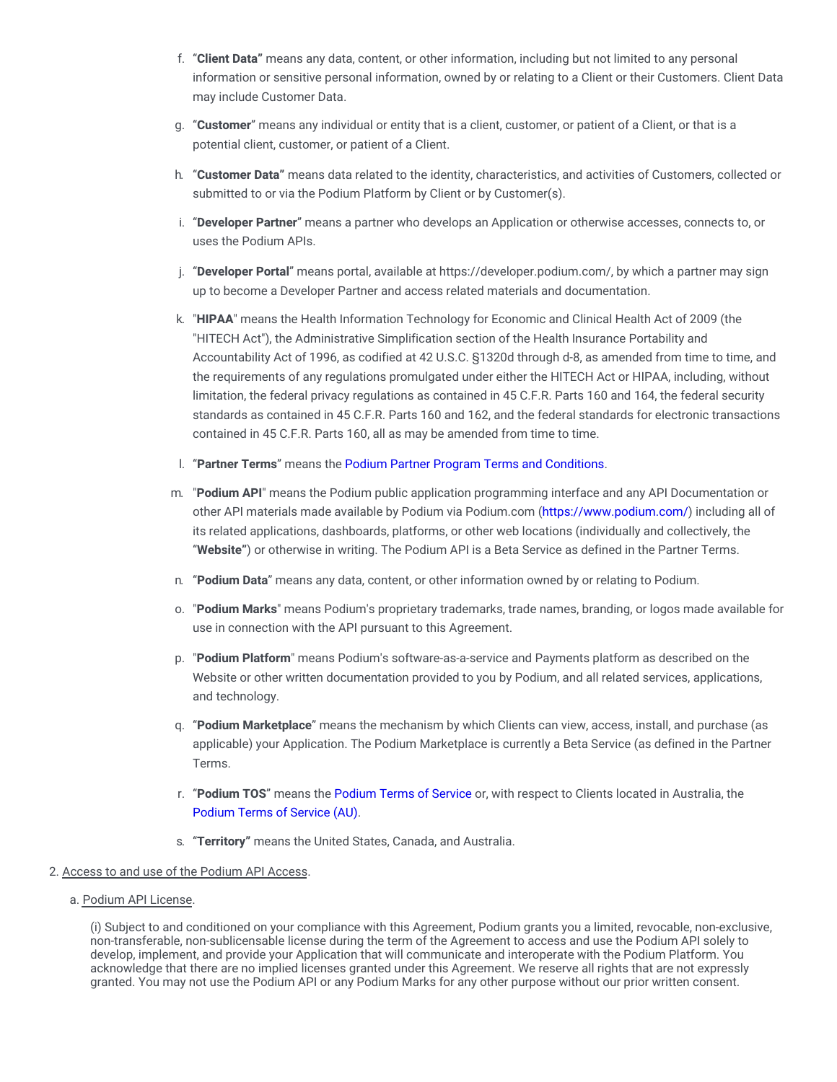- f. "**Client Data"** means any data, content, or other information, including but not limited to any personal information or sensitive personal information, owned by or relating to a Client or their Customers. Client Data may include Customer Data.
- g. "**Customer**" means any individual or entity that is a client, customer, or patient of a Client, or that is a potential client, customer, or patient of a Client.
- h. "**Customer Data"** means data related to the identity, characteristics, and activities of Customers, collected or submitted to or via the Podium Platform by Client or by Customer(s).
- i. "**Developer Partner**" means a partner who develops an Application or otherwise accesses, connects to, or uses the Podium APIs.
- j. "**Developer Portal**" means portal, available at https://developer.podium.com/, by which a partner may sign up to become a Developer Partner and access related materials and documentation.
- k. "**HIPAA**" means the Health Information Technology for Economic and Clinical Health Act of 2009 (the "HITECH Act"), the Administrative Simplification section of the Health Insurance Portability and Accountability Act of 1996, as codified at 42 U.S.C. §1320d through d-8, as amended from time to time, and the requirements of any regulations promulgated under either the HITECH Act or HIPAA, including, without limitation, the federal privacy regulations as contained in 45 C.F.R. Parts 160 and 164, the federal security standards as contained in 45 C.F.R. Parts 160 and 162, and the federal standards for electronic transactions contained in 45 C.F.R. Parts 160, all as may be amended from time to time.
- l. "**Partner Terms**" means the Podium Partner Program Terms and [Conditions](https://partner-terms.podium.com/#partnerstos).
- m. "**Podium API**" means the Podium public application programming interface and any API Documentation or other API materials made available by Podium via Podium.com [\(https://www.podium.com/](https://www.podium.com/)) including all of its related applications, dashboards, platforms, or other web locations (individually and collectively, the "**Website"**) or otherwise in writing. The Podium API is a Beta Service as defined in the Partner Terms.
- n. "**Podium Data**" means any data, content, or other information owned by or relating to Podium.
- o. "**Podium Marks**" means Podium's proprietary trademarks, trade names, branding, or logos made available for use in connection with the API pursuant to this Agreement.
- p. "**Podium Platform**" means Podium's software-as-a-service and Payments platform as described on the Website or other written documentation provided to you by Podium, and all related services, applications, and technology.
- q. "**Podium Marketplace**" means the mechanism by which Clients can view, access, install, and purchase (as applicable) your Application. The Podium Marketplace is currently a Beta Service (as defined in the Partner Terms.
- r. "**Podium TOS**" means the [Podium](https://legal.podium.com/#termsofservice-us) Terms of Service or, with respect to Clients located in Australia, the [Podium](https://www.podium.com.au/terms-and-conditions/) Terms of Service (AU).
- s. "**Territory"** means the United States, Canada, and Australia.

# 2. Access to and use of the Podium API Access.

a. Podium API License.

(i) Subject to and conditioned on your compliance with this Agreement, Podium grants you a limited, revocable, non-exclusive, non-transferable, non-sublicensable license during the term of the Agreement to access and use the Podium API solely to develop, implement, and provide your Application that will communicate and interoperate with the Podium Platform. You acknowledge that there are no implied licenses granted under this Agreement. We reserve all rights that are not expressly granted. You may not use the Podium API or any Podium Marks for any other purpose without our prior written consent.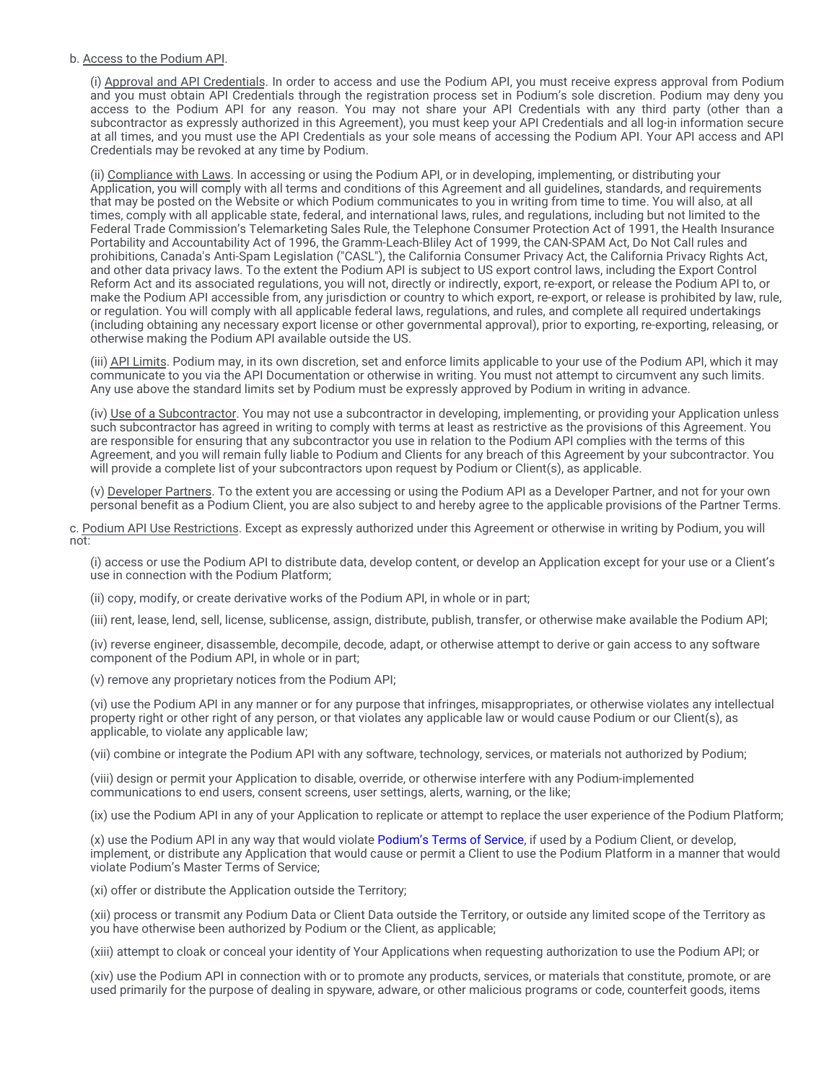### b. Access to the Podium API.

(i) Approval and API Credentials. In order to access and use the Podium API, you must receive express approval from Podium and you must obtain API Credentials through the registration process set in Podium's sole discretion. Podium may deny you access to the Podium API for any reason. You may not share your API Credentials with any third party (other than a subcontractor as expressly authorized in this Agreement), you must keep your API Credentials and all log-in information secure at all times, and you must use the API Credentials as your sole means of accessing the Podium API. Your API access and API Credentials may be revoked at any time by Podium.

(ii) Compliance with Laws. In accessing or using the Podium API, or in developing, implementing, or distributing your Application, you will comply with all terms and conditions of this Agreement and all guidelines, standards, and requirements that may be posted on the Website or which Podium communicates to you in writing from time to time. You will also, at all times, comply with all applicable state, federal, and international laws, rules, and regulations, including but not limited to the Federal Trade Commission's Telemarketing Sales Rule, the Telephone Consumer Protection Act of 1991, the Health Insurance Portability and Accountability Act of 1996, the Gramm-Leach-Bliley Act of 1999, the CAN-SPAM Act, Do Not Call rules and prohibitions, Canada's Anti-Spam Legislation ("CASL"), the California Consumer Privacy Act, the California Privacy Rights Act, and other data privacy laws. To the extent the Podium API is subject to US export control laws, including the Export Control Reform Act and its associated regulations, you will not, directly or indirectly, export, re-export, or release the Podium API to, or make the Podium API accessible from, any jurisdiction or country to which export, re-export, or release is prohibited by law, rule, or regulation. You will comply with all applicable federal laws, regulations, and rules, and complete all required undertakings (including obtaining any necessary export license or other governmental approval), prior to exporting, re-exporting, releasing, or otherwise making the Podium API available outside the US.

(iii) API Limits. Podium may, in its own discretion, set and enforce limits applicable to your use of the Podium API, which it may communicate to you via the API Documentation or otherwise in writing. You must not attempt to circumvent any such limits. Any use above the standard limits set by Podium must be expressly approved by Podium in writing in advance.

(iv) Use of a Subcontractor. You may not use a subcontractor in developing, implementing, or providing your Application unless such subcontractor has agreed in writing to comply with terms at least as restrictive as the provisions of this Agreement. You are responsible for ensuring that any subcontractor you use in relation to the Podium API complies with the terms of this Agreement, and you will remain fully liable to Podium and Clients for any breach of this Agreement by your subcontractor. You will provide a complete list of your subcontractors upon request by Podium or Client(s), as applicable.

(v) Developer Partners. To the extent you are accessing or using the Podium API as a Developer Partner, and not for your own personal benefit as a Podium Client, you are also subject to and hereby agree to the applicable provisions of the Partner Terms.

c. Podium API Use Restrictions. Except as expressly authorized under this Agreement or otherwise in writing by Podium, you will not:

(i) access or use the Podium API to distribute data, develop content, or develop an Application except for your use or a Client's use in connection with the Podium Platform:

(ii) copy, modify, or create derivative works of the Podium API, in whole or in part;

(iii) rent, lease, lend, sell, license, sublicense, assign, distribute, publish, transfer, or otherwise make available the Podium API;

(iv) reverse engineer, disassemble, decompile, decode, adapt, or otherwise attempt to derive or gain access to any software component of the Podium API, in whole or in part;

(v) remove any proprietary notices from the Podium API;

(vi) use the Podium API in any manner or for any purpose that infringes, misappropriates, or otherwise violates any intellectual property right or other right of any person, or that violates any applicable law or would cause Podium or our Client(s), as applicable, to violate any applicable law;

(vii) combine or integrate the Podium API with any software, technology, services, or materials not authorized by Podium;

(viii) design or permit your Application to disable, override, or otherwise interfere with any Podium-implemented communications to end users, consent screens, user settings, alerts, warning, or the like;

(ix) use the Podium API in any of your Application to replicate or attempt to replace the user experience of the Podium Platform;

(x) use the Podium API in any way that would violate [Podium's](https://legal.podium.com/#termsofservice-us) Terms of Service, if used by a Podium Client, or develop, implement, or distribute any Application that would cause or permit a Client to use the Podium Platform in a manner that would violate Podium's Master Terms of Service;

(xi) offer or distribute the Application outside the Territory;

(xii) process or transmit any Podium Data or Client Data outside the Territory, or outside any limited scope of the Territory as you have otherwise been authorized by Podium or the Client, as applicable;

(xiii) attempt to cloak or conceal your identity of Your Applications when requesting authorization to use the Podium API; or

(xiv) use the Podium API in connection with or to promote any products, services, or materials that constitute, promote, or are used primarily for the purpose of dealing in spyware, adware, or other malicious programs or code, counterfeit goods, items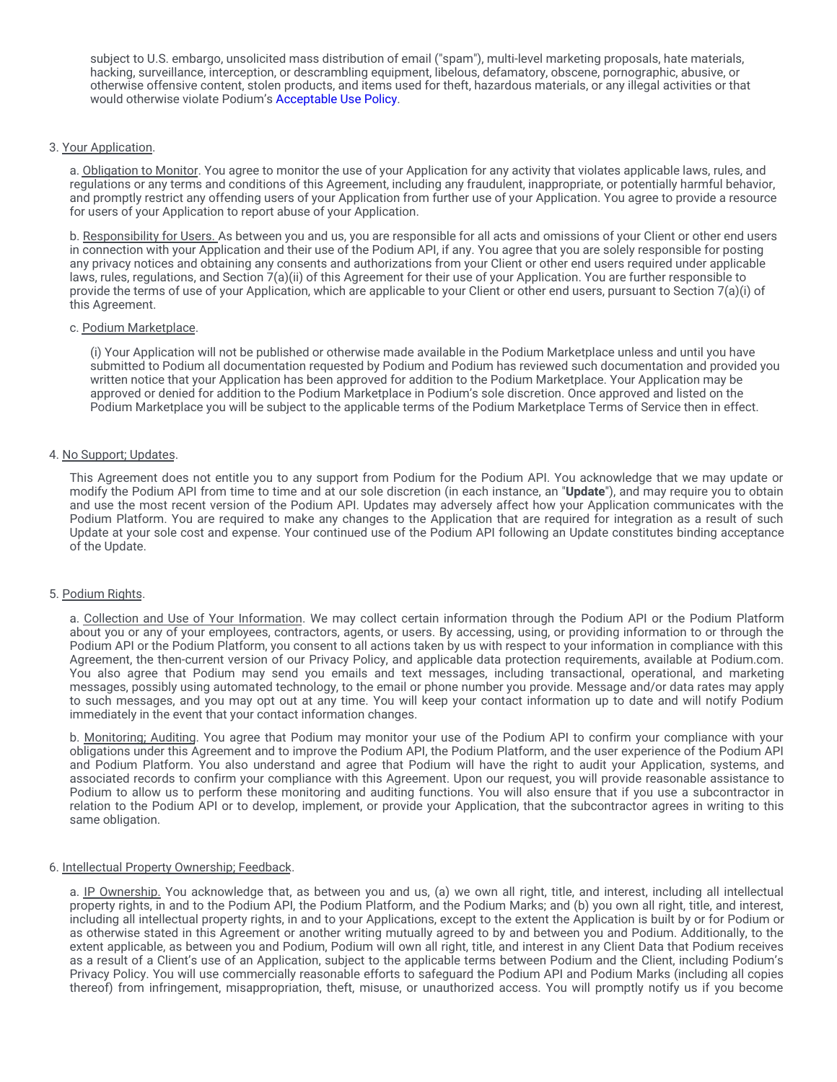subject to U.S. embargo, unsolicited mass distribution of email ("spam"), multi-level marketing proposals, hate materials, hacking, surveillance, interception, or descrambling equipment, libelous, defamatory, obscene, pornographic, abusive, or otherwise offensive content, stolen products, and items used for theft, hazardous materials, or any illegal activities or that would otherwise violate Podium's [Acceptable](https://legal.podium.com/#aup-us) Use Policy.

# 3. Your Application.

a. Obligation to Monitor. You agree to monitor the use of your Application for any activity that violates applicable laws, rules, and regulations or any terms and conditions of this Agreement, including any fraudulent, inappropriate, or potentially harmful behavior, and promptly restrict any offending users of your Application from further use of your Application. You agree to provide a resource for users of your Application to report abuse of your Application.

b. Responsibility for Users. As between you and us, you are responsible for all acts and omissions of your Client or other end users in connection with your Application and their use of the Podium API, if any. You agree that you are solely responsible for posting any privacy notices and obtaining any consents and authorizations from your Client or other end users required under applicable laws, rules, regulations, and Section 7(a)(ii) of this Agreement for their use of your Application. You are further responsible to provide the terms of use of your Application, which are applicable to your Client or other end users, pursuant to Section 7(a)(i) of this Agreement.

## c. Podium Marketplace.

(i) Your Application will not be published or otherwise made available in the Podium Marketplace unless and until you have submitted to Podium all documentation requested by Podium and Podium has reviewed such documentation and provided you written notice that your Application has been approved for addition to the Podium Marketplace. Your Application may be approved or denied for addition to the Podium Marketplace in Podium's sole discretion. Once approved and listed on the Podium Marketplace you will be subject to the applicable terms of the Podium Marketplace Terms of Service then in effect.

# 4. No Support; Updates.

This Agreement does not entitle you to any support from Podium for the Podium API. You acknowledge that we may update or modify the Podium API from time to time and at our sole discretion (in each instance, an "**Update**"), and may require you to obtain and use the most recent version of the Podium API. Updates may adversely affect how your Application communicates with the Podium Platform. You are required to make any changes to the Application that are required for integration as a result of such Update at your sole cost and expense. Your continued use of the Podium API following an Update constitutes binding acceptance of the Update.

# 5. Podium Rights.

a. Collection and Use of Your Information. We may collect certain information through the Podium API or the Podium Platform about you or any of your employees, contractors, agents, or users. By accessing, using, or providing information to or through the Podium API or the Podium Platform, you consent to all actions taken by us with respect to your information in compliance with this Agreement, the then-current version of our Privacy Policy, and applicable data protection requirements, available at Podium.com. You also agree that Podium may send you emails and text messages, including transactional, operational, and marketing messages, possibly using automated technology, to the email or phone number you provide. Message and/or data rates may apply to such messages, and you may opt out at any time. You will keep your contact information up to date and will notify Podium immediately in the event that your contact information changes.

b. Monitoring; Auditing. You agree that Podium may monitor your use of the Podium API to confirm your compliance with your obligations under this Agreement and to improve the Podium API, the Podium Platform, and the user experience of the Podium API and Podium Platform. You also understand and agree that Podium will have the right to audit your Application, systems, and associated records to confirm your compliance with this Agreement. Upon our request, you will provide reasonable assistance to Podium to allow us to perform these monitoring and auditing functions. You will also ensure that if you use a subcontractor in relation to the Podium API or to develop, implement, or provide your Application, that the subcontractor agrees in writing to this same obligation.

# 6. Intellectual Property Ownership; Feedback.

a. IP Ownership. You acknowledge that, as between you and us, (a) we own all right, title, and interest, including all intellectual property rights, in and to the Podium API, the Podium Platform, and the Podium Marks; and (b) you own all right, title, and interest, including all intellectual property rights, in and to your Applications, except to the extent the Application is built by or for Podium or as otherwise stated in this Agreement or another writing mutually agreed to by and between you and Podium. Additionally, to the extent applicable, as between you and Podium, Podium will own all right, title, and interest in any Client Data that Podium receives as a result of a Client's use of an Application, subject to the applicable terms between Podium and the Client, including Podium's Privacy Policy. You will use commercially reasonable efforts to safeguard the Podium API and Podium Marks (including all copies thereof) from infringement, misappropriation, theft, misuse, or unauthorized access. You will promptly notify us if you become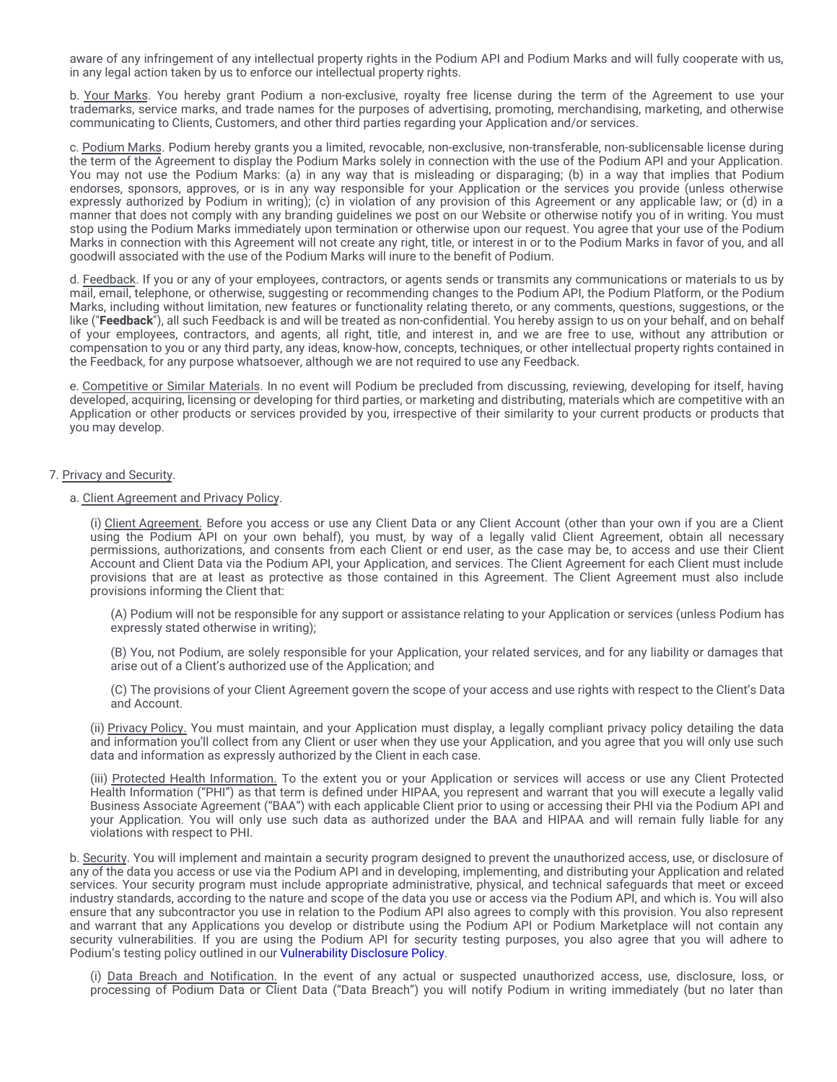aware of any infringement of any intellectual property rights in the Podium API and Podium Marks and will fully cooperate with us, in any legal action taken by us to enforce our intellectual property rights.

b. Your Marks. You hereby grant Podium a non-exclusive, royalty free license during the term of the Agreement to use your trademarks, service marks, and trade names for the purposes of advertising, promoting, merchandising, marketing, and otherwise communicating to Clients, Customers, and other third parties regarding your Application and/or services.

c. Podium Marks. Podium hereby grants you a limited, revocable, non-exclusive, non-transferable, non-sublicensable license during the term of the Agreement to display the Podium Marks solely in connection with the use of the Podium API and your Application. You may not use the Podium Marks: (a) in any way that is misleading or disparaging; (b) in a way that implies that Podium endorses, sponsors, approves, or is in any way responsible for your Application or the services you provide (unless otherwise expressly authorized by Podium in writing); (c) in violation of any provision of this Agreement or any applicable law; or (d) in a manner that does not comply with any branding guidelines we post on our Website or otherwise notify you of in writing. You must stop using the Podium Marks immediately upon termination or otherwise upon our request. You agree that your use of the Podium Marks in connection with this Agreement will not create any right, title, or interest in or to the Podium Marks in favor of you, and all goodwill associated with the use of the Podium Marks will inure to the benefit of Podium.

d. Feedback. If you or any of your employees, contractors, or agents sends or transmits any communications or materials to us by mail, email, telephone, or otherwise, suggesting or recommending changes to the Podium API, the Podium Platform, or the Podium Marks, including without limitation, new features or functionality relating thereto, or any comments, questions, suggestions, or the like ("**Feedback**"), all such Feedback is and will be treated as non-confidential. You hereby assign to us on your behalf, and on behalf of your employees, contractors, and agents, all right, title, and interest in, and we are free to use, without any attribution or compensation to you or any third party, any ideas, know-how, concepts, techniques, or other intellectual property rights contained in the Feedback, for any purpose whatsoever, although we are not required to use any Feedback.

e. Competitive or Similar Materials. In no event will Podium be precluded from discussing, reviewing, developing for itself, having developed, acquiring, licensing or developing for third parties, or marketing and distributing, materials which are competitive with an Application or other products or services provided by you, irrespective of their similarity to your current products or products that you may develop.

## 7. Privacy and Security.

## a. Client Agreement and Privacy Policy.

(i) Client Agreement. Before you access or use any Client Data or any Client Account (other than your own if you are a Client using the Podium API on your own behalf), you must, by way of a legally valid Client Agreement, obtain all necessary permissions, authorizations, and consents from each Client or end user, as the case may be, to access and use their Client Account and Client Data via the Podium API, your Application, and services. The Client Agreement for each Client must include provisions that are at least as protective as those contained in this Agreement. The Client Agreement must also include provisions informing the Client that:

(A) Podium will not be responsible for any support or assistance relating to your Application or services (unless Podium has expressly stated otherwise in writing);

(B) You, not Podium, are solely responsible for your Application, your related services, and for any liability or damages that arise out of a Client's authorized use of the Application; and

(C) The provisions of your Client Agreement govern the scope of your access and use rights with respect to the Client's Data and Account.

(ii) Privacy Policy. You must maintain, and your Application must display, a legally compliant privacy policy detailing the data and information you'll collect from any Client or user when they use your Application, and you agree that you will only use such data and information as expressly authorized by the Client in each case.

(iii) Protected Health Information. To the extent you or your Application or services will access or use any Client Protected Health Information ("PHI") as that term is defined under HIPAA, you represent and warrant that you will execute a legally valid Business Associate Agreement ("BAA") with each applicable Client prior to using or accessing their PHI via the Podium API and your Application. You will only use such data as authorized under the BAA and HIPAA and will remain fully liable for any violations with respect to PHI.

b. Security. You will implement and maintain a security program designed to prevent the unauthorized access, use, or disclosure of any of the data you access or use via the Podium API and in developing, implementing, and distributing your Application and related services. Your security program must include appropriate administrative, physical, and technical safeguards that meet or exceed industry standards, according to the nature and scope of the data you use or access via the Podium API, and which is. You will also ensure that any subcontractor you use in relation to the Podium API also agrees to comply with this provision. You also represent and warrant that any Applications you develop or distribute using the Podium API or Podium Marketplace will not contain any security vulnerabilities. If you are using the Podium API for security testing purposes, you also agree that you will adhere to Podium's testing policy outlined in our [Vulnerability](https://www.podium.com/vulnerability-policy/) Disclosure Policy.

(i) Data Breach and Notification. In the event of any actual or suspected unauthorized access, use, disclosure, loss, or processing of Podium Data or Client Data ("Data Breach") you will notify Podium in writing immediately (but no later than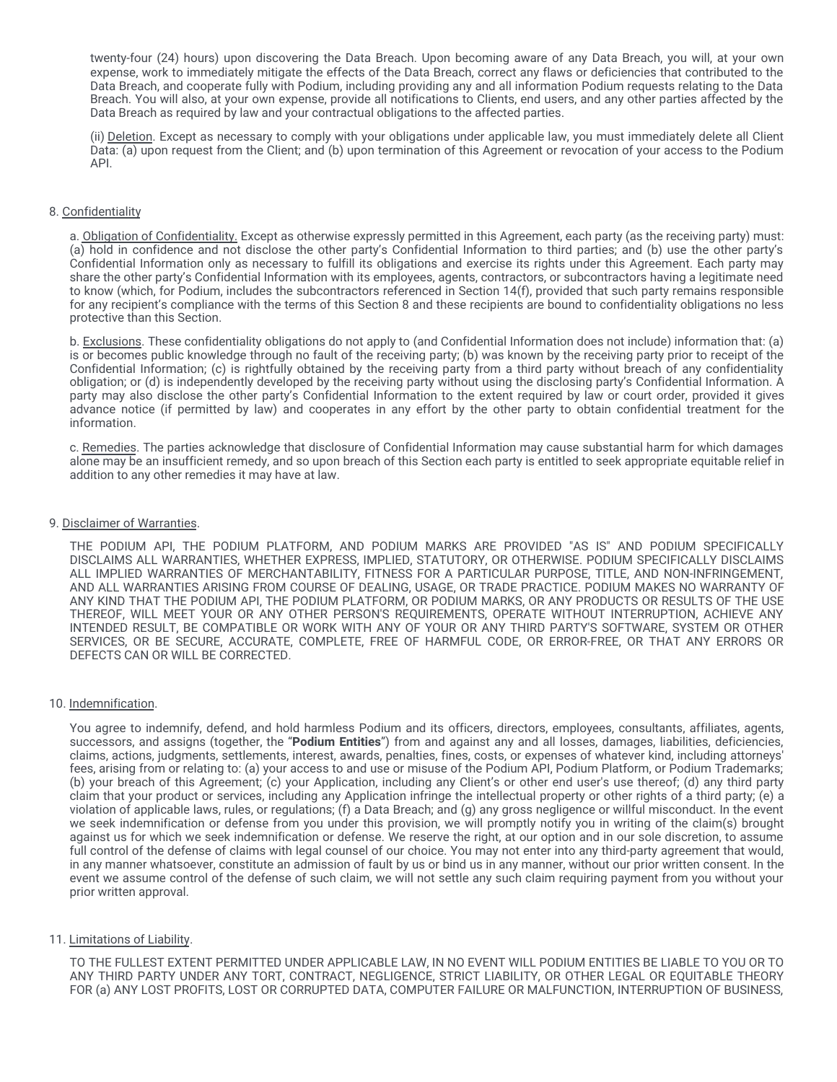twenty-four (24) hours) upon discovering the Data Breach. Upon becoming aware of any Data Breach, you will, at your own expense, work to immediately mitigate the effects of the Data Breach, correct any flaws or deficiencies that contributed to the Data Breach, and cooperate fully with Podium, including providing any and all information Podium requests relating to the Data Breach. You will also, at your own expense, provide all notifications to Clients, end users, and any other parties affected by the Data Breach as required by law and your contractual obligations to the affected parties.

(ii) Deletion. Except as necessary to comply with your obligations under applicable law, you must immediately delete all Client Data: (a) upon request from the Client; and (b) upon termination of this Agreement or revocation of your access to the Podium API.

# 8. Confidentiality

a. Obligation of Confidentiality. Except as otherwise expressly permitted in this Agreement, each party (as the receiving party) must: (a) hold in confidence and not disclose the other party's Confidential Information to third parties; and (b) use the other party's Confidential Information only as necessary to fulfill its obligations and exercise its rights under this Agreement. Each party may share the other party's Confidential Information with its employees, agents, contractors, or subcontractors having a legitimate need to know (which, for Podium, includes the subcontractors referenced in Section 14(f), provided that such party remains responsible for any recipient's compliance with the terms of this Section 8 and these recipients are bound to confidentiality obligations no less protective than this Section.

b. Exclusions. These confidentiality obligations do not apply to (and Confidential Information does not include) information that: (a) is or becomes public knowledge through no fault of the receiving party; (b) was known by the receiving party prior to receipt of the Confidential Information; (c) is rightfully obtained by the receiving party from a third party without breach of any confidentiality obligation; or (d) is independently developed by the receiving party without using the disclosing party's Confidential Information. A party may also disclose the other party's Confidential Information to the extent required by law or court order, provided it gives advance notice (if permitted by law) and cooperates in any effort by the other party to obtain confidential treatment for the information.

c. Remedies. The parties acknowledge that disclosure of Confidential Information may cause substantial harm for which damages alone may be an insufficient remedy, and so upon breach of this Section each party is entitled to seek appropriate equitable relief in addition to any other remedies it may have at law.

#### 9. Disclaimer of Warranties.

THE PODIUM API, THE PODIUM PLATFORM, AND PODIUM MARKS ARE PROVIDED "AS IS" AND PODIUM SPECIFICALLY DISCLAIMS ALL WARRANTIES, WHETHER EXPRESS, IMPLIED, STATUTORY, OR OTHERWISE. PODIUM SPECIFICALLY DISCLAIMS ALL IMPLIED WARRANTIES OF MERCHANTABILITY, FITNESS FOR A PARTICULAR PURPOSE, TITLE, AND NON-INFRINGEMENT, AND ALL WARRANTIES ARISING FROM COURSE OF DEALING, USAGE, OR TRADE PRACTICE. PODIUM MAKES NO WARRANTY OF ANY KIND THAT THE PODIUM API, THE PODIUM PLATFORM, OR PODIUM MARKS, OR ANY PRODUCTS OR RESULTS OF THE USE THEREOF, WILL MEET YOUR OR ANY OTHER PERSON'S REQUIREMENTS, OPERATE WITHOUT INTERRUPTION, ACHIEVE ANY INTENDED RESULT, BE COMPATIBLE OR WORK WITH ANY OF YOUR OR ANY THIRD PARTY'S SOFTWARE, SYSTEM OR OTHER SERVICES, OR BE SECURE, ACCURATE, COMPLETE, FREE OF HARMFUL CODE, OR ERROR-FREE, OR THAT ANY ERRORS OR DEFECTS CAN OR WILL BE CORRECTED.

#### 10. Indemnification.

You agree to indemnify, defend, and hold harmless Podium and its officers, directors, employees, consultants, affiliates, agents, successors, and assigns (together, the "**Podium Entities**") from and against any and all losses, damages, liabilities, deficiencies, claims, actions, judgments, settlements, interest, awards, penalties, fines, costs, or expenses of whatever kind, including attorneys' fees, arising from or relating to: (a) your access to and use or misuse of the Podium API, Podium Platform, or Podium Trademarks; (b) your breach of this Agreement; (c) your Application, including any Client's or other end user's use thereof; (d) any third party claim that your product or services, including any Application infringe the intellectual property or other rights of a third party; (e) a violation of applicable laws, rules, or regulations; (f) a Data Breach; and (g) any gross negligence or willful misconduct. In the event we seek indemnification or defense from you under this provision, we will promptly notify you in writing of the claim(s) brought against us for which we seek indemnification or defense. We reserve the right, at our option and in our sole discretion, to assume full control of the defense of claims with legal counsel of our choice. You may not enter into any third-party agreement that would, in any manner whatsoever, constitute an admission of fault by us or bind us in any manner, without our prior written consent. In the event we assume control of the defense of such claim, we will not settle any such claim requiring payment from you without your prior written approval.

# 11. Limitations of Liability.

TO THE FULLEST EXTENT PERMITTED UNDER APPLICABLE LAW, IN NO EVENT WILL PODIUM ENTITIES BE LIABLE TO YOU OR TO ANY THIRD PARTY UNDER ANY TORT, CONTRACT, NEGLIGENCE, STRICT LIABILITY, OR OTHER LEGAL OR EQUITABLE THEORY FOR (a) ANY LOST PROFITS, LOST OR CORRUPTED DATA, COMPUTER FAILURE OR MALFUNCTION, INTERRUPTION OF BUSINESS,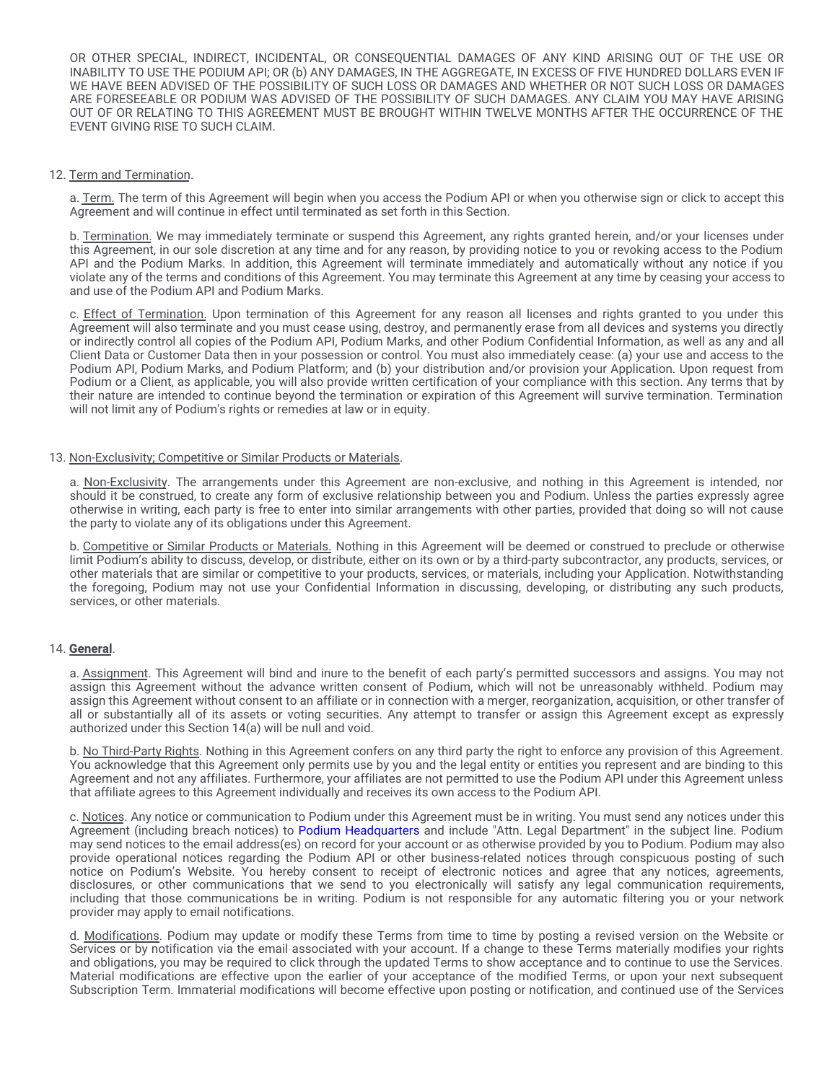OR OTHER SPECIAL, INDIRECT, INCIDENTAL, OR CONSEQUENTIAL DAMAGES OF ANY KIND ARISING OUT OF THE USE OR INABILITY TO USE THE PODIUM API; OR (b) ANY DAMAGES, IN THE AGGREGATE, IN EXCESS OF FIVE HUNDRED DOLLARS EVEN IF WE HAVE BEEN ADVISED OF THE POSSIBILITY OF SUCH LOSS OR DAMAGES AND WHETHER OR NOT SUCH LOSS OR DAMAGES ARE FORESEEABLE OR PODIUM WAS ADVISED OF THE POSSIBILITY OF SUCH DAMAGES. ANY CLAIM YOU MAY HAVE ARISING OUT OF OR RELATING TO THIS AGREEMENT MUST BE BROUGHT WITHIN TWELVE MONTHS AFTER THE OCCURRENCE OF THE EVENT GIVING RISE TO SUCH CLAIM.

## 12. Term and Termination.

a. Term. The term of this Agreement will begin when you access the Podium API or when you otherwise sign or click to accept this Agreement and will continue in effect until terminated as set forth in this Section.

b. Termination. We may immediately terminate or suspend this Agreement, any rights granted herein, and/or your licenses under this Agreement, in our sole discretion at any time and for any reason, by providing notice to you or revoking access to the Podium API and the Podium Marks. In addition, this Agreement will terminate immediately and automatically without any notice if you violate any of the terms and conditions of this Agreement. You may terminate this Agreement at any time by ceasing your access to and use of the Podium API and Podium Marks.

c. Effect of Termination. Upon termination of this Agreement for any reason all licenses and rights granted to you under this Agreement will also terminate and you must cease using, destroy, and permanently erase from all devices and systems you directly or indirectly control all copies of the Podium API, Podium Marks, and other Podium Confidential Information, as well as any and all Client Data or Customer Data then in your possession or control. You must also immediately cease: (a) your use and access to the Podium API, Podium Marks, and Podium Platform; and (b) your distribution and/or provision your Application. Upon request from Podium or a Client, as applicable, you will also provide written certification of your compliance with this section. Any terms that by their nature are intended to continue beyond the termination or expiration of this Agreement will survive termination. Termination will not limit any of Podium's rights or remedies at law or in equity.

#### 13. Non-Exclusivity; Competitive or Similar Products or Materials.

a. Non-Exclusivity. The arrangements under this Agreement are non-exclusive, and nothing in this Agreement is intended, nor should it be construed, to create any form of exclusive relationship between you and Podium. Unless the parties expressly agree otherwise in writing, each party is free to enter into similar arrangements with other parties, provided that doing so will not cause the party to violate any of its obligations under this Agreement.

b. Competitive or Similar Products or Materials. Nothing in this Agreement will be deemed or construed to preclude or otherwise limit Podium's ability to discuss, develop, or distribute, either on its own or by a third-party subcontractor, any products, services, or other materials that are similar or competitive to your products, services, or materials, including your Application. Notwithstanding the foregoing, Podium may not use your Confidential Information in discussing, developing, or distributing any such products, services, or other materials.

#### 14. **General**.

a. Assignment. This Agreement will bind and inure to the benefit of each party's permitted successors and assigns. You may not assign this Agreement without the advance written consent of Podium, which will not be unreasonably withheld. Podium may assign this Agreement without consent to an affiliate or in connection with a merger, reorganization, acquisition, or other transfer of all or substantially all of its assets or voting securities. Any attempt to transfer or assign this Agreement except as expressly authorized under this Section 14(a) will be null and void.

b. No Third-Party Rights. Nothing in this Agreement confers on any third party the right to enforce any provision of this Agreement. You acknowledge that this Agreement only permits use by you and the legal entity or entities you represent and are binding to this Agreement and not any affiliates. Furthermore, your affiliates are not permitted to use the Podium API under this Agreement unless that affiliate agrees to this Agreement individually and receives its own access to the Podium API.

c. Notices. Any notice or communication to Podium under this Agreement must be in writing. You must send any notices under this Agreement (including breach notices) to Podium [Headquarters](https://www.podium.com/contact-us/) and include "Attn. Legal Department" in the subject line. Podium may send notices to the email address(es) on record for your account or as otherwise provided by you to Podium. Podium may also provide operational notices regarding the Podium API or other business-related notices through conspicuous posting of such notice on Podium's Website. You hereby consent to receipt of electronic notices and agree that any notices, agreements, disclosures, or other communications that we send to you electronically will satisfy any legal communication requirements, including that those communications be in writing. Podium is not responsible for any automatic filtering you or your network provider may apply to email notifications.

d. Modifications. Podium may update or modify these Terms from time to time by posting a revised version on the Website or Services or by notification via the email associated with your account. If a change to these Terms materially modifies your rights and obligations, you may be required to click through the updated Terms to show acceptance and to continue to use the Services. Material modifications are effective upon the earlier of your acceptance of the modified Terms, or upon your next subsequent Subscription Term. Immaterial modifications will become effective upon posting or notification, and continued use of the Services